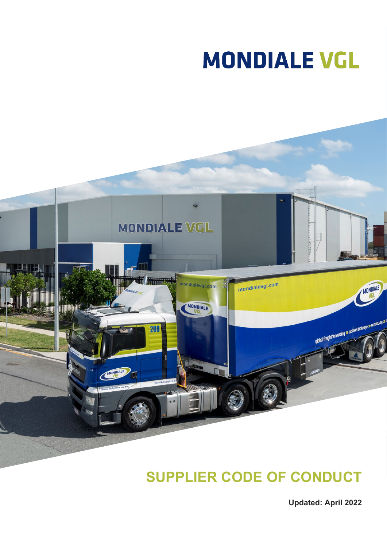# **MONDIALE VGL**



# **SUPPLIER CODE OF CONDUCT**

**Updated: April 2022**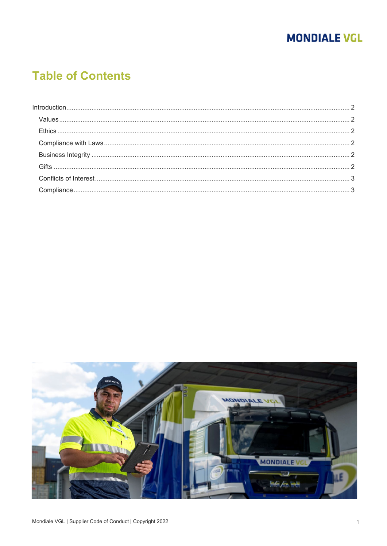## **MONDIALE VGL**

# **Table of Contents**

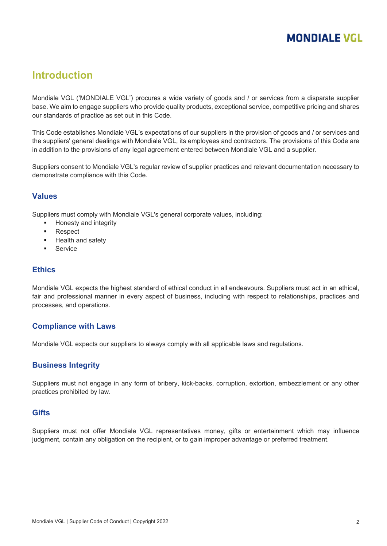### **MONDIALE VGL**

#### <span id="page-2-0"></span>**Introduction**

Mondiale VGL ('MONDIALE VGL') procures a wide variety of goods and / or services from a disparate supplier base. We aim to engage suppliers who provide quality products, exceptional service, competitive pricing and shares our standards of practice as set out in this Code.

This Code establishes Mondiale VGL's expectations of our suppliers in the provision of goods and / or services and the suppliers' general dealings with Mondiale VGL, its employees and contractors. The provisions of this Code are in addition to the provisions of any legal agreement entered between Mondiale VGL and a supplier.

Suppliers consent to Mondiale VGL's regular review of supplier practices and relevant documentation necessary to demonstrate compliance with this Code.

#### <span id="page-2-1"></span>**Values**

Suppliers must comply with Mondiale VGL's general corporate values, including:

- Honesty and integrity
- **Respect**
- Health and safety
- **Service**

#### <span id="page-2-2"></span>**Ethics**

Mondiale VGL expects the highest standard of ethical conduct in all endeavours. Suppliers must act in an ethical, fair and professional manner in every aspect of business, including with respect to relationships, practices and processes, and operations.

#### <span id="page-2-3"></span>**Compliance with Laws**

<span id="page-2-4"></span>Mondiale VGL expects our suppliers to always comply with all applicable laws and regulations.

#### **Business Integrity**

Suppliers must not engage in any form of bribery, kick-backs, corruption, extortion, embezzlement or any other practices prohibited by law.

#### <span id="page-2-5"></span>**Gifts**

Suppliers must not offer Mondiale VGL representatives money, gifts or entertainment which may influence judgment, contain any obligation on the recipient, or to gain improper advantage or preferred treatment.